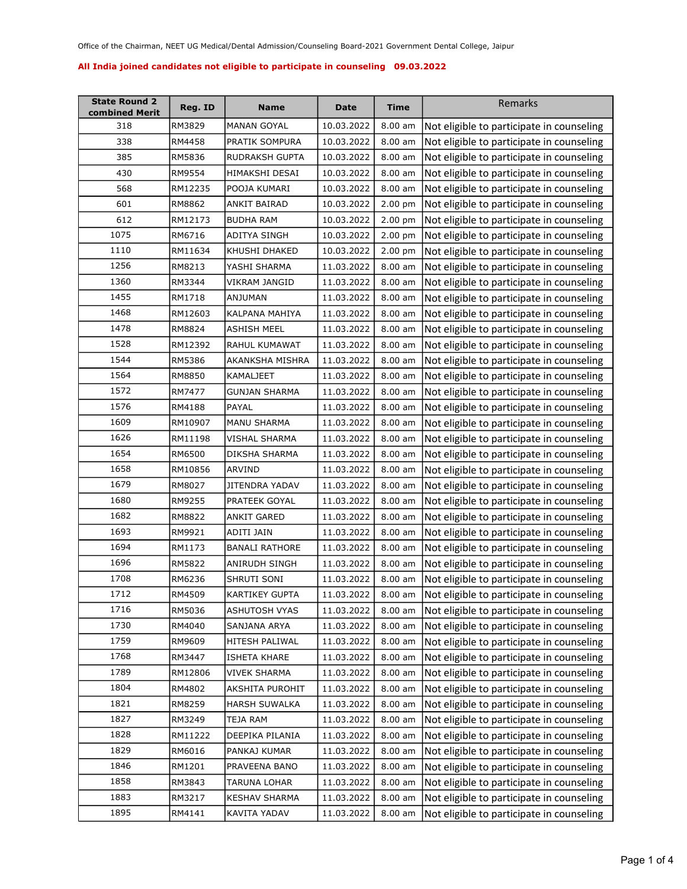| <b>State Round 2</b><br>combined Merit | Reg. ID | <b>Name</b>           | Date       | Time      | Remarks                                             |
|----------------------------------------|---------|-----------------------|------------|-----------|-----------------------------------------------------|
| 318                                    | RM3829  | MANAN GOYAL           | 10.03.2022 | 8.00 am   | Not eligible to participate in counseling           |
| 338                                    | RM4458  | PRATIK SOMPURA        | 10.03.2022 | $8.00$ am | Not eligible to participate in counseling           |
| 385                                    | RM5836  | RUDRAKSH GUPTA        | 10.03.2022 | 8.00 am   | Not eligible to participate in counseling           |
| 430                                    | RM9554  | HIMAKSHI DESAI        | 10.03.2022 | 8.00 am   | Not eligible to participate in counseling           |
| 568                                    | RM12235 | POOJA KUMARI          | 10.03.2022 | 8.00 am   | Not eligible to participate in counseling           |
| 601                                    | RM8862  | ANKIT BAIRAD          | 10.03.2022 | 2.00 pm   | Not eligible to participate in counseling           |
| 612                                    | RM12173 | <b>BUDHA RAM</b>      | 10.03.2022 | $2.00$ pm | Not eligible to participate in counseling           |
| 1075                                   | RM6716  | ADITYA SINGH          | 10.03.2022 | $2.00$ pm | Not eligible to participate in counseling           |
| 1110                                   | RM11634 | KHUSHI DHAKED         | 10.03.2022 | 2.00 pm   | Not eligible to participate in counseling           |
| 1256                                   | RM8213  | YASHI SHARMA          | 11.03.2022 | 8.00 am   | Not eligible to participate in counseling           |
| 1360                                   | RM3344  | VIKRAM JANGID         | 11.03.2022 | 8.00 am   | Not eligible to participate in counseling           |
| 1455                                   | RM1718  | ANJUMAN               | 11.03.2022 | 8.00 am   | Not eligible to participate in counseling           |
| 1468                                   | RM12603 | KALPANA MAHIYA        | 11.03.2022 | $8.00$ am | Not eligible to participate in counseling           |
| 1478                                   | RM8824  | ASHISH MEEL           | 11.03.2022 | 8.00 am   | Not eligible to participate in counseling           |
| 1528                                   | RM12392 | RAHUL KUMAWAT         | 11.03.2022 | 8.00 am   | Not eligible to participate in counseling           |
| 1544                                   | RM5386  | AKANKSHA MISHRA       | 11.03.2022 | $8.00$ am | Not eligible to participate in counseling           |
| 1564                                   | RM8850  | KAMALJEET             | 11.03.2022 | 8.00 am   | Not eligible to participate in counseling           |
| 1572                                   | RM7477  | <b>GUNJAN SHARMA</b>  | 11.03.2022 | 8.00 am   | Not eligible to participate in counseling           |
| 1576                                   | RM4188  | PAYAL                 | 11.03.2022 | $8.00$ am | Not eligible to participate in counseling           |
| 1609                                   | RM10907 | MANU SHARMA           | 11.03.2022 | 8.00 am   | Not eligible to participate in counseling           |
| 1626                                   | RM11198 | VISHAL SHARMA         | 11.03.2022 | $8.00$ am | Not eligible to participate in counseling           |
| 1654                                   | RM6500  | DIKSHA SHARMA         | 11.03.2022 | 8.00 am   | Not eligible to participate in counseling           |
| 1658                                   | RM10856 | ARVIND                | 11.03.2022 | 8.00 am   | Not eligible to participate in counseling           |
| 1679                                   | RM8027  | JITENDRA YADAV        | 11.03.2022 | 8.00 am   | Not eligible to participate in counseling           |
| 1680                                   | RM9255  | PRATEEK GOYAL         | 11.03.2022 | 8.00 am   | Not eligible to participate in counseling           |
| 1682                                   | RM8822  | ANKIT GARED           | 11.03.2022 | 8.00 am   | Not eligible to participate in counseling           |
| 1693                                   | RM9921  | ADITI JAIN            | 11.03.2022 | $8.00$ am | Not eligible to participate in counseling           |
| 1694                                   | RM1173  | <b>BANALI RATHORE</b> | 11.03.2022 | 8.00 am   | Not eligible to participate in counseling           |
| 1696                                   | RM5822  | ANIRUDH SINGH         | 11.03.2022 | 8.00 am   | Not eligible to participate in counseling           |
| 1708                                   | RM6236  | SHRUTI SONI           | 11.03.2022 | $8.00$ am | Not eligible to participate in counseling           |
| 1712                                   | RM4509  | KARTIKEY GUPTA        | 11.03.2022 |           | 8.00 am   Not eligible to participate in counseling |
| 1716                                   | RM5036  | ASHUTOSH VYAS         | 11.03.2022 | 8.00 am   | Not eligible to participate in counseling           |
| 1730                                   | RM4040  | SANJANA ARYA          | 11.03.2022 | 8.00 am   | Not eligible to participate in counseling           |
| 1759                                   | RM9609  | HITESH PALIWAL        | 11.03.2022 | 8.00 am   | Not eligible to participate in counseling           |
| 1768                                   | RM3447  | <b>ISHETA KHARE</b>   | 11.03.2022 | 8.00 am   | Not eligible to participate in counseling           |
| 1789                                   | RM12806 | <b>VIVEK SHARMA</b>   | 11.03.2022 | 8.00 am   | Not eligible to participate in counseling           |
| 1804                                   | RM4802  | AKSHITA PUROHIT       | 11.03.2022 | 8.00 am   | Not eligible to participate in counseling           |
| 1821                                   | RM8259  | HARSH SUWALKA         | 11.03.2022 | 8.00 am   | Not eligible to participate in counseling           |
| 1827                                   | RM3249  | TEJA RAM              | 11.03.2022 | 8.00 am   | Not eligible to participate in counseling           |
| 1828                                   | RM11222 | DEEPIKA PILANIA       | 11.03.2022 | 8.00 am   | Not eligible to participate in counseling           |
| 1829                                   | RM6016  | PANKAJ KUMAR          | 11.03.2022 | 8.00 am   | Not eligible to participate in counseling           |
| 1846                                   | RM1201  | PRAVEENA BANO         | 11.03.2022 | 8.00 am   | Not eligible to participate in counseling           |
| 1858                                   | RM3843  | TARUNA LOHAR          | 11.03.2022 | 8.00 am   | Not eligible to participate in counseling           |
| 1883                                   | RM3217  | <b>KESHAV SHARMA</b>  | 11.03.2022 | 8.00 am   | Not eligible to participate in counseling           |
| 1895                                   | RM4141  | KAVITA YADAV          | 11.03.2022 | $8.00$ am | Not eligible to participate in counseling           |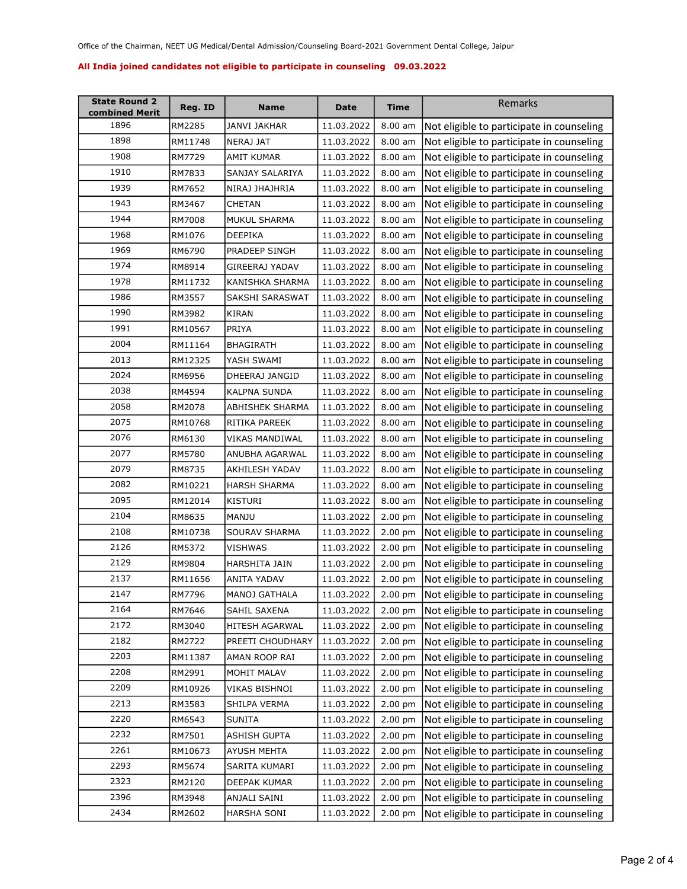| <b>State Round 2</b><br>combined Merit | Reg. ID | <b>Name</b>         | Date       | Time      | Remarks                                             |
|----------------------------------------|---------|---------------------|------------|-----------|-----------------------------------------------------|
| 1896                                   | RM2285  | JANVI JAKHAR        | 11.03.2022 | 8.00 am   | Not eligible to participate in counseling           |
| 1898                                   | RM11748 | NERAJ JAT           | 11.03.2022 | 8.00 am   | Not eligible to participate in counseling           |
| 1908                                   | RM7729  | <b>AMIT KUMAR</b>   | 11.03.2022 | 8.00 am   | Not eligible to participate in counseling           |
| 1910                                   | RM7833  | SANJAY SALARIYA     | 11.03.2022 | $8.00$ am | Not eligible to participate in counseling           |
| 1939                                   | RM7652  | NIRAJ JHAJHRIA      | 11.03.2022 | $8.00$ am | Not eligible to participate in counseling           |
| 1943                                   | RM3467  | CHETAN              | 11.03.2022 | 8.00 am   | Not eligible to participate in counseling           |
| 1944                                   | RM7008  | MUKUL SHARMA        | 11.03.2022 | 8.00 am   | Not eligible to participate in counseling           |
| 1968                                   | RM1076  | DEEPIKA             | 11.03.2022 | $8.00$ am | Not eligible to participate in counseling           |
| 1969                                   | RM6790  | PRADEEP SINGH       | 11.03.2022 | 8.00 am   | Not eligible to participate in counseling           |
| 1974                                   | RM8914  | GIREERAJ YADAV      | 11.03.2022 | 8.00 am   | Not eligible to participate in counseling           |
| 1978                                   | RM11732 | KANISHKA SHARMA     | 11.03.2022 | 8.00 am   | Not eligible to participate in counseling           |
| 1986                                   | RM3557  | SAKSHI SARASWAT     | 11.03.2022 | 8.00 am   | Not eligible to participate in counseling           |
| 1990                                   | RM3982  | KIRAN               | 11.03.2022 | 8.00 am   | Not eligible to participate in counseling           |
| 1991                                   | RM10567 | PRIYA               | 11.03.2022 | 8.00 am   | Not eligible to participate in counseling           |
| 2004                                   | RM11164 | <b>BHAGIRATH</b>    | 11.03.2022 | 8.00 am   | Not eligible to participate in counseling           |
| 2013                                   | RM12325 | YASH SWAMI          | 11.03.2022 | 8.00 am   | Not eligible to participate in counseling           |
| 2024                                   | RM6956  | DHEERAJ JANGID      | 11.03.2022 | $8.00$ am | Not eligible to participate in counseling           |
| 2038                                   | RM4594  | <b>KALPNA SUNDA</b> | 11.03.2022 | 8.00 am   | Not eligible to participate in counseling           |
| 2058                                   | RM2078  | ABHISHEK SHARMA     | 11.03.2022 | 8.00 am   | Not eligible to participate in counseling           |
| 2075                                   | RM10768 | RITIKA PAREEK       | 11.03.2022 | 8.00 am   | Not eligible to participate in counseling           |
| 2076                                   | RM6130  | VIKAS MANDIWAL      | 11.03.2022 | 8.00 am   | Not eligible to participate in counseling           |
| 2077                                   | RM5780  | ANUBHA AGARWAL      | 11.03.2022 | 8.00 am   | Not eligible to participate in counseling           |
| 2079                                   | RM8735  | AKHILESH YADAV      | 11.03.2022 | 8.00 am   | Not eligible to participate in counseling           |
| 2082                                   | RM10221 | <b>HARSH SHARMA</b> | 11.03.2022 | 8.00 am   | Not eligible to participate in counseling           |
| 2095                                   | RM12014 | KISTURI             | 11.03.2022 | 8.00 am   | Not eligible to participate in counseling           |
| 2104                                   | RM8635  | MANJU               | 11.03.2022 | $2.00$ pm | Not eligible to participate in counseling           |
| 2108                                   | RM10738 | SOURAV SHARMA       | 11.03.2022 | 2.00 pm   | Not eligible to participate in counseling           |
| 2126                                   | RM5372  | VISHWAS             | 11.03.2022 | 2.00 pm   | Not eligible to participate in counseling           |
| 2129                                   | RM9804  | HARSHITA JAIN       | 11.03.2022 | 2.00 pm   | Not eligible to participate in counseling           |
| 2137                                   | RM11656 | ANITA YADAV         | 11.03.2022 | 2.00 pm   | Not eligible to participate in counseling           |
| 2147                                   | RM7796  | MANOJ GATHALA       | 11.03.2022 |           | 2.00 pm   Not eligible to participate in counseling |
| 2164                                   | RM7646  | SAHIL SAXENA        | 11.03.2022 | $2.00$ pm | Not eligible to participate in counseling           |
| 2172                                   | RM3040  | HITESH AGARWAL      | 11.03.2022 | 2.00 pm   | Not eligible to participate in counseling           |
| 2182                                   | RM2722  | PREETI CHOUDHARY    | 11.03.2022 | 2.00 pm   | Not eligible to participate in counseling           |
| 2203                                   | RM11387 | AMAN ROOP RAI       | 11.03.2022 | 2.00 pm   | Not eligible to participate in counseling           |
| 2208                                   | RM2991  | MOHIT MALAV         | 11.03.2022 | 2.00 pm   | Not eligible to participate in counseling           |
| 2209                                   | RM10926 | VIKAS BISHNOI       | 11.03.2022 | 2.00 pm   | Not eligible to participate in counseling           |
| 2213                                   | RM3583  | SHILPA VERMA        | 11.03.2022 | 2.00 pm   | Not eligible to participate in counseling           |
| 2220                                   | RM6543  | <b>SUNITA</b>       | 11.03.2022 | 2.00 pm   | Not eligible to participate in counseling           |
| 2232                                   | RM7501  | <b>ASHISH GUPTA</b> | 11.03.2022 | 2.00 pm   | Not eligible to participate in counseling           |
| 2261                                   | RM10673 | <b>AYUSH MEHTA</b>  | 11.03.2022 | 2.00 pm   | Not eligible to participate in counseling           |
| 2293                                   | RM5674  | SARITA KUMARI       | 11.03.2022 | 2.00 pm   | Not eligible to participate in counseling           |
| 2323                                   | RM2120  | DEEPAK KUMAR        | 11.03.2022 | 2.00 pm   | Not eligible to participate in counseling           |
| 2396                                   | RM3948  | ANJALI SAINI        | 11.03.2022 | 2.00 pm   | Not eligible to participate in counseling           |
| 2434                                   | RM2602  | HARSHA SONI         | 11.03.2022 | 2.00 pm   | Not eligible to participate in counseling           |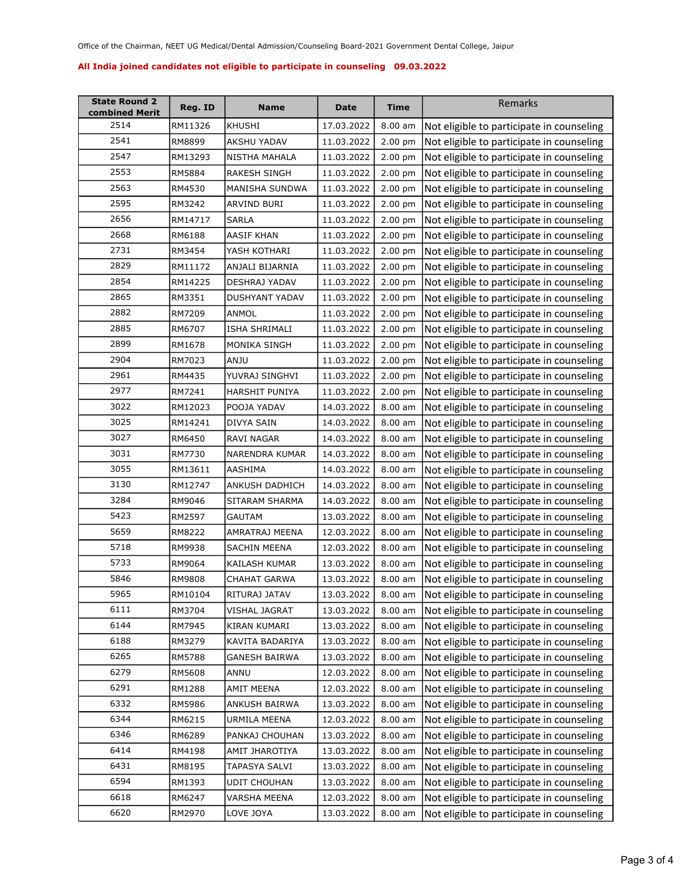| <b>State Round 2</b><br>combined Merit | Reg. ID | Name                | Date       | Time              | Remarks                                   |
|----------------------------------------|---------|---------------------|------------|-------------------|-------------------------------------------|
| 2514                                   | RM11326 | KHUSHI              | 17.03.2022 | 8.00 am           | Not eligible to participate in counseling |
| 2541                                   | RM8899  | AKSHU YADAV         | 11.03.2022 | 2.00 pm           | Not eligible to participate in counseling |
| 2547                                   | RM13293 | NISTHA MAHALA       | 11.03.2022 | 2.00 pm           | Not eligible to participate in counseling |
| 2553                                   | RM5884  | RAKESH SINGH        | 11.03.2022 | 2.00 pm           | Not eligible to participate in counseling |
| 2563                                   | RM4530  | MANISHA SUNDWA      | 11.03.2022 | 2.00 pm           | Not eligible to participate in counseling |
| 2595                                   | RM3242  | ARVIND BURI         | 11.03.2022 | 2.00 pm           | Not eligible to participate in counseling |
| 2656                                   | RM14717 | <b>SARLA</b>        | 11.03.2022 | $2.00$ pm         | Not eligible to participate in counseling |
| 2668                                   | RM6188  | AASIF KHAN          | 11.03.2022 | $2.00$ pm         | Not eligible to participate in counseling |
| 2731                                   | RM3454  | YASH KOTHARI        | 11.03.2022 | 2.00 pm           | Not eligible to participate in counseling |
| 2829                                   | RM11172 | ANJALI BIJARNIA     | 11.03.2022 | 2.00 pm           | Not eligible to participate in counseling |
| 2854                                   | RM14225 | DESHRAJ YADAV       | 11.03.2022 | 2.00 pm           | Not eligible to participate in counseling |
| 2865                                   | RM3351  | DUSHYANT YADAV      | 11.03.2022 | 2.00 pm           | Not eligible to participate in counseling |
| 2882                                   | RM7209  | ANMOL               | 11.03.2022 | 2.00 pm           | Not eligible to participate in counseling |
| 2885                                   | RM6707  | ISHA SHRIMALI       | 11.03.2022 | $2.00$ pm         | Not eligible to participate in counseling |
| 2899                                   | RM1678  | MONIKA SINGH        | 11.03.2022 | 2.00 pm           | Not eligible to participate in counseling |
| 2904                                   | RM7023  | ANJU                | 11.03.2022 | 2.00 pm           | Not eligible to participate in counseling |
| 2961                                   | RM4435  | YUVRAJ SINGHVI      | 11.03.2022 | 2.00 pm           | Not eligible to participate in counseling |
| 2977                                   | RM7241  | HARSHIT PUNIYA      | 11.03.2022 | 2.00 pm           | Not eligible to participate in counseling |
| 3022                                   | RM12023 | POOJA YADAV         | 14.03.2022 | 8.00 am           | Not eligible to participate in counseling |
| 3025                                   | RM14241 | DIVYA SAIN          | 14.03.2022 | 8.00 am           | Not eligible to participate in counseling |
| 3027                                   | RM6450  | RAVI NAGAR          | 14.03.2022 | $8.00$ am         | Not eligible to participate in counseling |
| 3031                                   | RM7730  | NARENDRA KUMAR      | 14.03.2022 | 8.00 am           | Not eligible to participate in counseling |
| 3055                                   | RM13611 | AASHIMA             | 14.03.2022 | $8.00$ am         | Not eligible to participate in counseling |
| 3130                                   | RM12747 | ANKUSH DADHICH      | 14.03.2022 | 8.00 am           | Not eligible to participate in counseling |
| 3284                                   | RM9046  | SITARAM SHARMA      | 14.03.2022 | 8.00 am           | Not eligible to participate in counseling |
| 5423                                   | RM2597  | GAUTAM              | 13.03.2022 | 8.00 am           | Not eligible to participate in counseling |
| 5659                                   | RM8222  | AMRATRAJ MEENA      | 12.03.2022 | $8.00$ am         | Not eligible to participate in counseling |
| 5718                                   | RM9938  | SACHIN MEENA        | 12.03.2022 | 8.00 am           | Not eligible to participate in counseling |
| 5733                                   | RM9064  | KAILASH KUMAR       | 13.03.2022 | 8.00 am           | Not eligible to participate in counseling |
| 5846                                   | RM9808  | CHAHAT GARWA        | 13.03.2022 | 8.00 am           | Not eligible to participate in counseling |
| 5965                                   | RM10104 | RITURAJ JATAV       | 13.03.2022 | $8.00 \text{ am}$ | Not eligible to participate in counseling |
| 6111                                   | RM3704  | VISHAL JAGRAT       | 13.03.2022 | $8.00$ am         | Not eligible to participate in counseling |
| 6144                                   | RM7945  | KIRAN KUMARI        | 13.03.2022 | 8.00 am           | Not eligible to participate in counseling |
| 6188                                   | RM3279  | KAVITA BADARIYA     | 13.03.2022 | 8.00 am           | Not eligible to participate in counseling |
| 6265                                   | RM5788  | GANESH BAIRWA       | 13.03.2022 | 8.00 am           | Not eligible to participate in counseling |
| 6279                                   | RM5608  | ANNU                | 12.03.2022 | 8.00 am           | Not eligible to participate in counseling |
| 6291                                   | RM1288  | AMIT MEENA          | 12.03.2022 | 8.00 am           | Not eligible to participate in counseling |
| 6332                                   | RM5986  | ANKUSH BAIRWA       | 13.03.2022 | 8.00 am           | Not eligible to participate in counseling |
| 6344                                   | RM6215  | URMILA MEENA        | 12.03.2022 | 8.00 am           | Not eligible to participate in counseling |
| 6346                                   | RM6289  | PANKAJ CHOUHAN      | 13.03.2022 | 8.00 am           | Not eligible to participate in counseling |
| 6414                                   | RM4198  | AMIT JHAROTIYA      | 13.03.2022 | 8.00 am           | Not eligible to participate in counseling |
| 6431                                   | RM8195  | TAPASYA SALVI       | 13.03.2022 | 8.00 am           | Not eligible to participate in counseling |
| 6594                                   | RM1393  | <b>UDIT CHOUHAN</b> | 13.03.2022 | 8.00 am           | Not eligible to participate in counseling |
| 6618                                   | RM6247  | VARSHA MEENA        | 12.03.2022 | 8.00 am           | Not eligible to participate in counseling |
| 6620                                   | RM2970  | LOVE JOYA           | 13.03.2022 | $8.00$ am         | Not eligible to participate in counseling |